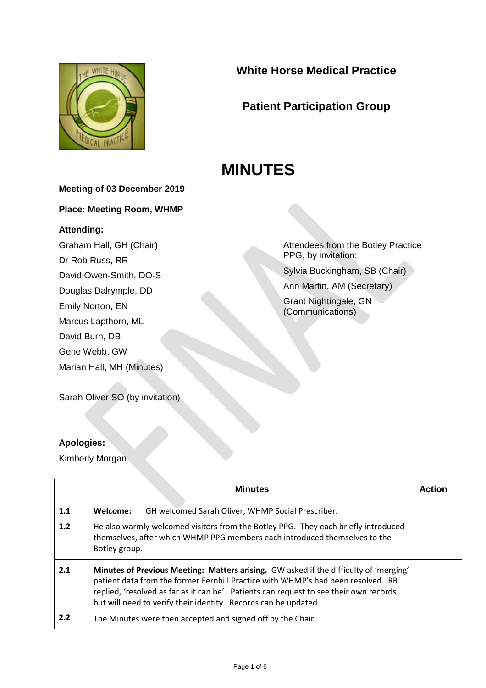

## **White Horse Medical Practice**

# **Patient Participation Group**

# **MINUTES**

### **Meeting of 03 December 2019**

**Place: Meeting Room, WHMP**

#### **Attending:**

Graham Hall, GH (Chair) Dr Rob Russ, RR David Owen-Smith, DO-S Douglas Dalrymple, DD Emily Norton, EN Marcus Lapthorn, ML David Burn, DB Gene Webb, GW Marian Hall, MH (Minutes)

Attendees from the Botley Practice PPG, by invitation:

Sylvia Buckingham, SB (Chair)

Ann Martin, AM (Secretary)

Grant Nightingale, GN (Communications)

Sarah Oliver SO (by invitation)

### **Apologies:**

Kimberly Morgan

|     | <b>Minutes</b>                                                                                                                                                                                                                                                                                                                         | <b>Action</b> |
|-----|----------------------------------------------------------------------------------------------------------------------------------------------------------------------------------------------------------------------------------------------------------------------------------------------------------------------------------------|---------------|
| 1.1 | Welcome:<br>GH welcomed Sarah Oliver, WHMP Social Prescriber.                                                                                                                                                                                                                                                                          |               |
| 1.2 | He also warmly welcomed visitors from the Botley PPG. They each briefly introduced<br>themselves, after which WHMP PPG members each introduced themselves to the<br>Botley group.                                                                                                                                                      |               |
| 2.1 | Minutes of Previous Meeting: Matters arising. GW asked if the difficulty of 'merging'<br>patient data from the former Fernhill Practice with WHMP's had been resolved. RR<br>replied, 'resolved as far as it can be'. Patients can request to see their own records<br>but will need to verify their identity. Records can be updated. |               |
| 2.2 | The Minutes were then accepted and signed off by the Chair.                                                                                                                                                                                                                                                                            |               |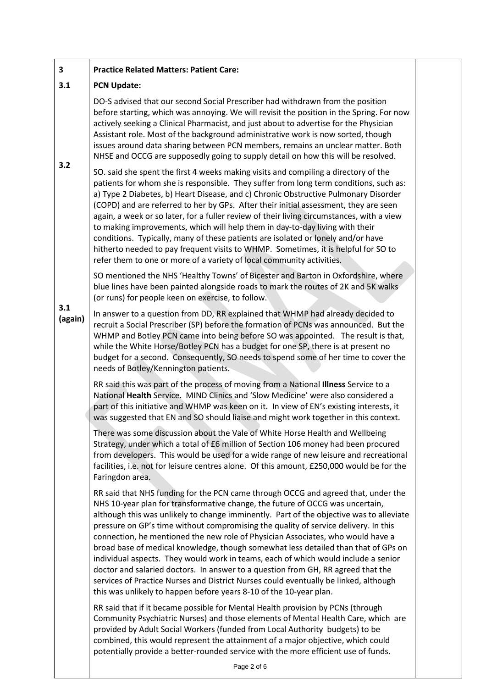#### **3 Practice Related Matters: Patient Care:**

#### **3.1 PCN Update:**

**3.2**

DO-S advised that our second Social Prescriber had withdrawn from the position before starting, which was annoying. We will revisit the position in the Spring. For now actively seeking a Clinical Pharmacist, and just about to advertise for the Physician Assistant role. Most of the background administrative work is now sorted, though issues around data sharing between PCN members, remains an unclear matter. Both NHSE and OCCG are supposedly going to supply detail on how this will be resolved.

SO. said she spent the first 4 weeks making visits and compiling a directory of the patients for whom she is responsible. They suffer from long term conditions, such as: a) Type 2 Diabetes, b) Heart Disease, and c) Chronic Obstructive Pulmonary Disorder (COPD) and are referred to her by GPs. After their initial assessment, they are seen again, a week or so later, for a fuller review of their living circumstances, with a view to making improvements, which will help them in day-to-day living with their conditions. Typically, many of these patients are isolated or lonely and/or have hitherto needed to pay frequent visits to WHMP. Sometimes, it is helpful for SO to refer them to one or more of a variety of local community activities.

SO mentioned the NHS 'Healthy Towns' of Bicester and Barton in Oxfordshire, where blue lines have been painted alongside roads to mark the routes of 2K and 5K walks (or runs) for people keen on exercise, to follow.

**3.1 (again)** In answer to a question from DD, RR explained that WHMP had already decided to recruit a Social Prescriber (SP) before the formation of PCNs was announced. But the WHMP and Botley PCN came into being before SO was appointed. The result is that, while the White Horse/Botley PCN has a budget for one SP, there is at present no budget for a second. Consequently, SO needs to spend some of her time to cover the needs of Botley/Kennington patients.

> RR said this was part of the process of moving from a National **Illness** Service to a National **Health** Service. MIND Clinics and 'Slow Medicine' were also considered a part of this initiative and WHMP was keen on it. In view of EN's existing interests, it was suggested that EN and SO should liaise and might work together in this context.

There was some discussion about the Vale of White Horse Health and Wellbeing Strategy, under which a total of £6 million of Section 106 money had been procured from developers. This would be used for a wide range of new leisure and recreational facilities, i.e. not for leisure centres alone. Of this amount, £250,000 would be for the Faringdon area.

RR said that NHS funding for the PCN came through OCCG and agreed that, under the NHS 10-year plan for transformative change, the future of OCCG was uncertain, although this was unlikely to change imminently. Part of the objective was to alleviate pressure on GP's time without compromising the quality of service delivery. In this connection, he mentioned the new role of Physician Associates, who would have a broad base of medical knowledge, though somewhat less detailed than that of GPs on individual aspects. They would work in teams, each of which would include a senior doctor and salaried doctors. In answer to a question from GH, RR agreed that the services of Practice Nurses and District Nurses could eventually be linked, although this was unlikely to happen before years 8-10 of the 10-year plan.

RR said that if it became possible for Mental Health provision by PCNs (through Community Psychiatric Nurses) and those elements of Mental Health Care, which are provided by Adult Social Workers (funded from Local Authority budgets) to be combined, this would represent the attainment of a major objective, which could potentially provide a better-rounded service with the more efficient use of funds.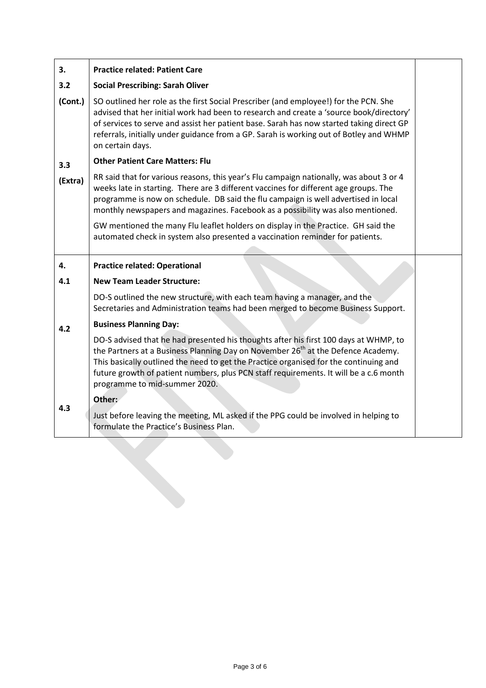| 3.                                            | <b>Practice related: Patient Care</b>                                                                                                                                                                                                                                                                                                                                                                   |  |
|-----------------------------------------------|---------------------------------------------------------------------------------------------------------------------------------------------------------------------------------------------------------------------------------------------------------------------------------------------------------------------------------------------------------------------------------------------------------|--|
| 3.2                                           | <b>Social Prescribing: Sarah Oliver</b>                                                                                                                                                                                                                                                                                                                                                                 |  |
| (Cont.)                                       | SO outlined her role as the first Social Prescriber (and employee!) for the PCN. She<br>advised that her initial work had been to research and create a 'source book/directory'<br>of services to serve and assist her patient base. Sarah has now started taking direct GP<br>referrals, initially under guidance from a GP. Sarah is working out of Botley and WHMP<br>on certain days.               |  |
| <b>Other Patient Care Matters: Flu</b><br>3.3 |                                                                                                                                                                                                                                                                                                                                                                                                         |  |
| (Extra)                                       | RR said that for various reasons, this year's Flu campaign nationally, was about 3 or 4<br>weeks late in starting. There are 3 different vaccines for different age groups. The<br>programme is now on schedule. DB said the flu campaign is well advertised in local<br>monthly newspapers and magazines. Facebook as a possibility was also mentioned.                                                |  |
|                                               | GW mentioned the many Flu leaflet holders on display in the Practice. GH said the<br>automated check in system also presented a vaccination reminder for patients.                                                                                                                                                                                                                                      |  |
| 4.                                            | <b>Practice related: Operational</b>                                                                                                                                                                                                                                                                                                                                                                    |  |
|                                               |                                                                                                                                                                                                                                                                                                                                                                                                         |  |
| 4.1                                           | <b>New Team Leader Structure:</b>                                                                                                                                                                                                                                                                                                                                                                       |  |
|                                               | DO-S outlined the new structure, with each team having a manager, and the<br>Secretaries and Administration teams had been merged to become Business Support.                                                                                                                                                                                                                                           |  |
| 4.2                                           | <b>Business Planning Day:</b>                                                                                                                                                                                                                                                                                                                                                                           |  |
|                                               | DO-S advised that he had presented his thoughts after his first 100 days at WHMP, to<br>the Partners at a Business Planning Day on November 26 <sup>th</sup> at the Defence Academy.<br>This basically outlined the need to get the Practice organised for the continuing and<br>future growth of patient numbers, plus PCN staff requirements. It will be a c.6 month<br>programme to mid-summer 2020. |  |
| 4.3                                           | Other:                                                                                                                                                                                                                                                                                                                                                                                                  |  |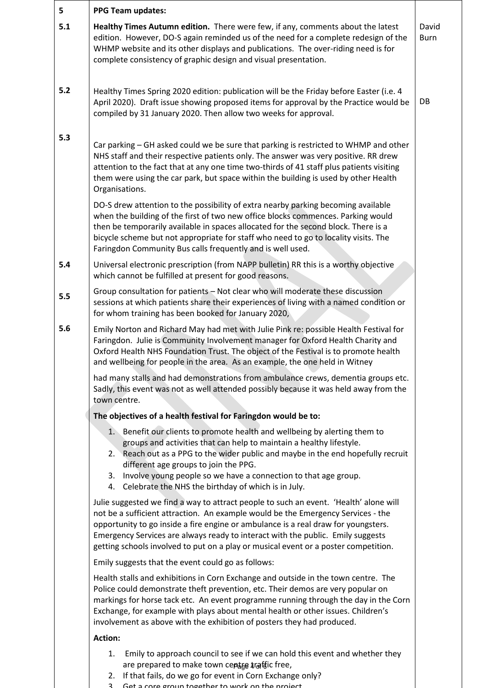| 5   | <b>PPG Team updates:</b>                                                                                                                                                                                                                                                                                                                                                                                                                  |                      |
|-----|-------------------------------------------------------------------------------------------------------------------------------------------------------------------------------------------------------------------------------------------------------------------------------------------------------------------------------------------------------------------------------------------------------------------------------------------|----------------------|
| 5.1 | Healthy Times Autumn edition. There were few, if any, comments about the latest<br>edition. However, DO-S again reminded us of the need for a complete redesign of the<br>WHMP website and its other displays and publications. The over-riding need is for<br>complete consistency of graphic design and visual presentation.                                                                                                            | David<br><b>Burn</b> |
| 5.2 | Healthy Times Spring 2020 edition: publication will be the Friday before Easter (i.e. 4<br>April 2020). Draft issue showing proposed items for approval by the Practice would be<br>compiled by 31 January 2020. Then allow two weeks for approval.                                                                                                                                                                                       | DB                   |
| 5.3 | Car parking - GH asked could we be sure that parking is restricted to WHMP and other<br>NHS staff and their respective patients only. The answer was very positive. RR drew<br>attention to the fact that at any one time two-thirds of 41 staff plus patients visiting<br>them were using the car park, but space within the building is used by other Health<br>Organisations.                                                          |                      |
|     | DO-S drew attention to the possibility of extra nearby parking becoming available<br>when the building of the first of two new office blocks commences. Parking would<br>then be temporarily available in spaces allocated for the second block. There is a<br>bicycle scheme but not appropriate for staff who need to go to locality visits. The<br>Faringdon Community Bus calls frequently and is well used.                          |                      |
| 5.4 | Universal electronic prescription (from NAPP bulletin) RR this is a worthy objective<br>which cannot be fulfilled at present for good reasons.                                                                                                                                                                                                                                                                                            |                      |
| 5.5 | Group consultation for patients - Not clear who will moderate these discussion<br>sessions at which patients share their experiences of living with a named condition or<br>for whom training has been booked for January 2020,                                                                                                                                                                                                           |                      |
| 5.6 | Emily Norton and Richard May had met with Julie Pink re: possible Health Festival for<br>Faringdon. Julie is Community Involvement manager for Oxford Health Charity and<br>Oxford Health NHS Foundation Trust. The object of the Festival is to promote health<br>and wellbeing for people in the area. As an example, the one held in Witney                                                                                            |                      |
|     | had many stalls and had demonstrations from ambulance crews, dementia groups etc.<br>Sadly, this event was not as well attended possibly because it was held away from the<br>town centre.                                                                                                                                                                                                                                                |                      |
|     | The objectives of a health festival for Faringdon would be to:                                                                                                                                                                                                                                                                                                                                                                            |                      |
|     | 1. Benefit our clients to promote health and wellbeing by alerting them to<br>groups and activities that can help to maintain a healthy lifestyle.<br>2. Reach out as a PPG to the wider public and maybe in the end hopefully recruit<br>different age groups to join the PPG.<br>3. Involve young people so we have a connection to that age group.<br>4. Celebrate the NHS the birthday of which is in July.                           |                      |
|     | Julie suggested we find a way to attract people to such an event. 'Health' alone will<br>not be a sufficient attraction. An example would be the Emergency Services - the<br>opportunity to go inside a fire engine or ambulance is a real draw for youngsters.<br>Emergency Services are always ready to interact with the public. Emily suggests<br>getting schools involved to put on a play or musical event or a poster competition. |                      |
|     | Emily suggests that the event could go as follows:                                                                                                                                                                                                                                                                                                                                                                                        |                      |
|     | Health stalls and exhibitions in Corn Exchange and outside in the town centre. The<br>Police could demonstrate theft prevention, etc. Their demos are very popular on<br>markings for horse tack etc. An event programme running through the day in the Corn<br>Exchange, for example with plays about mental health or other issues. Children's<br>involvement as above with the exhibition of posters they had produced.                |                      |
|     | <b>Action:</b>                                                                                                                                                                                                                                                                                                                                                                                                                            |                      |
|     | 1. Emily to approach council to see if we can hold this event and whether they<br>are prepared to make town ceptse traffic free,<br>2. If that fails, do we go for event in Corn Exchange only?<br>Cet a care group together to work on the project<br>$\sim$                                                                                                                                                                             |                      |

3. Get a core group together to work on the project.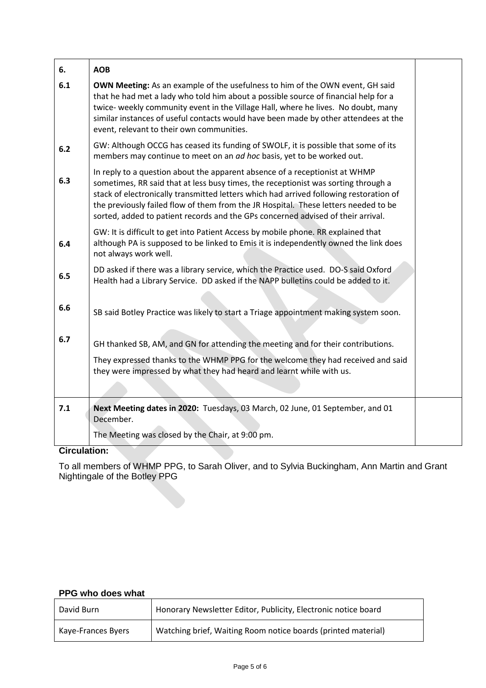| 6.  | <b>AOB</b>                                                                                                                                                                                                                                                                                                                                                                                                                             |  |
|-----|----------------------------------------------------------------------------------------------------------------------------------------------------------------------------------------------------------------------------------------------------------------------------------------------------------------------------------------------------------------------------------------------------------------------------------------|--|
| 6.1 | <b>OWN Meeting:</b> As an example of the usefulness to him of the OWN event, GH said<br>that he had met a lady who told him about a possible source of financial help for a<br>twice- weekly community event in the Village Hall, where he lives. No doubt, many<br>similar instances of useful contacts would have been made by other attendees at the<br>event, relevant to their own communities.                                   |  |
| 6.2 | GW: Although OCCG has ceased its funding of SWOLF, it is possible that some of its<br>members may continue to meet on an ad hoc basis, yet to be worked out.                                                                                                                                                                                                                                                                           |  |
| 6.3 | In reply to a question about the apparent absence of a receptionist at WHMP<br>sometimes, RR said that at less busy times, the receptionist was sorting through a<br>stack of electronically transmitted letters which had arrived following restoration of<br>the previously failed flow of them from the JR Hospital. These letters needed to be<br>sorted, added to patient records and the GPs concerned advised of their arrival. |  |
| 6.4 | GW: It is difficult to get into Patient Access by mobile phone. RR explained that<br>although PA is supposed to be linked to Emis it is independently owned the link does<br>not always work well.                                                                                                                                                                                                                                     |  |
| 6.5 | DD asked if there was a library service, which the Practice used. DO-S said Oxford<br>Health had a Library Service. DD asked if the NAPP bulletins could be added to it.                                                                                                                                                                                                                                                               |  |
| 6.6 | SB said Botley Practice was likely to start a Triage appointment making system soon.                                                                                                                                                                                                                                                                                                                                                   |  |
| 6.7 | GH thanked SB, AM, and GN for attending the meeting and for their contributions.<br>They expressed thanks to the WHMP PPG for the welcome they had received and said<br>they were impressed by what they had heard and learnt while with us.                                                                                                                                                                                           |  |
| 7.1 | Next Meeting dates in 2020: Tuesdays, 03 March, 02 June, 01 September, and 01<br>December.                                                                                                                                                                                                                                                                                                                                             |  |
|     | The Meeting was closed by the Chair, at 9:00 pm.                                                                                                                                                                                                                                                                                                                                                                                       |  |

#### **Circulation:**

To all members of WHMP PPG, to Sarah Oliver, and to Sylvia Buckingham, Ann Martin and Grant Nightingale of the Botley PPG

### **PPG who does what**

| . . <del>w</del> w www |                                                                |  |
|------------------------|----------------------------------------------------------------|--|
| David Burn             | Honorary Newsletter Editor, Publicity, Electronic notice board |  |
| Kaye-Frances Byers     | Watching brief, Waiting Room notice boards (printed material)  |  |